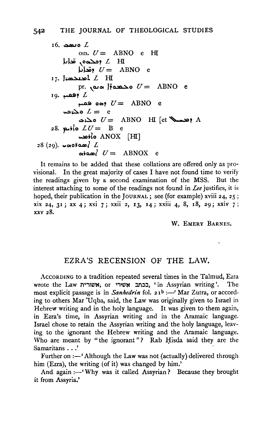16. 
$$
\cos L
$$
\n on.  $U = \text{ ABNO}$  e H\n  $\log \cos \omega$  f. H\n  $\log U = \text{ ABNO}$  e\n17.  $\sin \omega \ln L$  H\n pr.  $\cos \theta$  f = ABNO e\n19.  $\cos \theta$  f = ABNO e\n  $\cos \theta$  f = ABNO e\n  $\cos \omega$  f = ABNO H\n [et  $\cos \theta$  A 28.  $\sin \omega$  f = B e\n  $\cos \omega$  f = ABNO H\n [et  $\cos \theta$  A 28.  $\cos \omega$  f = ABNO X [H]\n28 (29).  $\cos \omega$  f = ABNOX e

It remains to be added that these collations are offered only as provisional. In the great majority of cases I have not found time to verify the readings given by a second examination of the MSS. But the interest attaching to some of the readings not found in *Lee* justifies, it is hoped, their publication in the JOURNAL; see (for example) xviii 24, 25; xix 24, 31; xx 4; xxi 7; xxii 2, 13, 14; xxiii 4, 8, r8, 29; xxiv 7; XXV 28.

W. EMERY BARNES.

 $\ddot{\phantom{0}}$ 

## EZRA'S RECENSION OF THE LAW.

AccoRDING to a tradition repeated several times in the Talmud, Ezra wrote the Law ישארי , or בכתב אשירי, in Assyrian writing'. The most explicit passage is in *Sanhedrin* fol. 21<sup>b</sup> :- 'Mar Zutra, or according to others Mar 'Uqba, said, the Law was originally given to Israel in Hebrew writing and in the holy language. It was given to them again, in Ezra's time, in Assyrian writing and in the Aramaic language. Israel chose to retain the Assyrian writing and the holy language, leaving to the ignorant the Hebrew writing and the Aramaic language. Who are meant by "the ignorant"? Rab Hisda said they are the Samaritans ...'

Further on  $:$  - 'Although the Law was not (actually) delivered through him (Ezra), the writing (of it) was changed by him.'

And again :- 'Why was it called Assyrian? Because they brought it from Assyria.'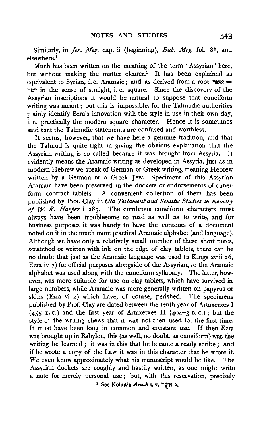Similarly, in *Jer. Meg.* cap. ii (beginning), *Bab. Meg.* fol. 8<sup>b</sup>, and elsewhere.<sup>1</sup>

Much has been written on the meaning of the term 'Assyrian' here, but without making the matter clearer.<sup>1</sup> It has been explained as equivalent to Syrian, i.e. Aramaic; and as derived from a root  $w =$ "1W' in the sense of straight, i. e. square. Since the discovery of the Assyrian inscriptions it would be natural to suppose that cuneiform writing was meant; but this is impossible, for the Talmudic authorities plainly identify Ezra's innovation with the style in use in their own day, i. e. practically the modern square character. Hence it is sometimes said that the Talmudic statements are confused and worthless.

It seems, however, that we have here a genuine tradition, and that the Talmud is quite right in giving the obvious explanation that the Assyrian writing is so called because it was brought from Assyria. It evidently means the Aramaic writing as developed in Assyria, just as in modern Hebrew we speak of German or Greek writing, meaning Hebrew written by a German or a Greek Jew. Specimens of this Assyrian Aramaic have been preserved in the dockets or endorsements of cuneiform contract tablets. A convenient collection of them has been published by Prof. Clay in *Old Testament and Semitic Studies in memory of W. R. Harper* i 285. The cumbrous cuneiform characters must always have been troublesome to read as well as to write, and for business purposes it was handy to have the contents of a document noted on it in the much more practical Aramaic alphabet (and language). Although we have only a relatively small number of these short notes, scratched or written with ink on the edge of clay tablets, there can be no doubt that just as the Aramaic language was used (2 Kings xviii 26, Ezra iv 7) for official purposes alongside of the Assyrian, so the Aramaic alphabet was used along with the cuneiform syllabary. The latter, however, was more suitable for use on clay tablets, which have survived in large numbers, while Aramaic was more generally written on papyrus or skins (Ezra vi 2) which have, of course, perished. The specimens published by Prof. Clay are dated between the tenth year of Artaxerxes I  $(455 B.C.)$  and the first year of Artaxerxes II (404-3 B.C.); but the style of the writing shews that it was not then used for the first time. It must have been long in common and constant use. If then Ezra was brought up in Babylon, this (as well, no doubt, as cuneiform) was the writing he learned ; it was in this that he became a ready scribe; and if he wrote a copy of the Law it was in this character that he wrote it. We even know approximately what his manuscript would be like. The Assyrian dockets are roughly and hastily written, as one might write a note for merely personal use ; but, with this reservation, precisely 1 See Kohut's *.Aruch* s. v. "1WN 2 • ...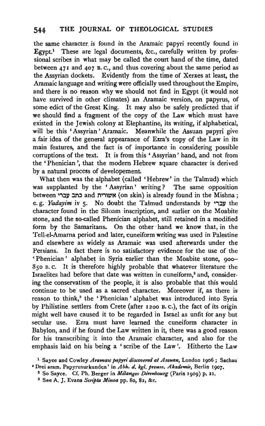the same character. is found in the Aramaic papyri recently found in Egypt.<sup>1</sup> These are legal documents, &c., carefully written by professional scribes in what may be called the court hand of the time, dated between 471 and 407 B. c., and thus covering about the same period as the Assyrian dockets. Evidently from the time of Xerxes at least, the Aramaic language and writing were officially used throughout the Empire, and there is no reason why we should not find in Egypt (it would not have survived in other climates) an Aramaic version, on papyrus, of some edict of the Great King. It may also be safely predicted that if we should find a fragment of the copy of the Law which must have existed in the Jewish colony at Elephantine, its writing, if alphabetical, will be this 'Assyrian' Aramaic. Meanwhile the Assuan papyri give a fair idea of the general appearance of Ezra's copy of the Law in its main features, and the fact is of importance in considering possible corruptions of the text. It is from this ' Assyrian' hand, and not from the 'Phenician ', that the modern Hebrew square character is derived by a natural process of developement

What then was the alphabet (called 'Hebrew' in the Talmud) which was supplanted by the ' Assyrian' writing? The same opposition between כתב עברי and אשורית (on skin) is already found in the Mishna; e. g. *Yadayim* iv 5. No doubt the Talmud understands by עברי the character found in the Siloam inscription, and earlier on the Moabite stone, and the so-called Phenician alphabet, still retained in a modified form by the Samaritans. On the other ·hand we know that, in the Tell-el-Amarna period and later, cuneiform writing was used in Palestine and elsewhere as widely as Aramaic was used afterwards under the Persians. In fact there is no satisfactory evidence for the use of the ' Phenician' alphabet in Syria earlier than the Moabite stone, 900-85o B. c. It is therefore highly probable that whatever literature the Israelites had before that date was written in cuneiform,<sup>2</sup> and, considering the conservatism of the people, it is also probable that this would continue to be used as a sacred character. Moreover if, as there is reason to think,<sup>3</sup> the 'Phenician' alphabet was introduced into Syria by Philistine settlers from Crete (after 12oo B. c.), the fact of its origin might well have caused it to be regarded in Israel as unfit for any but secular use. Ezra must have learned the cuneiform character in Babylon, and if he found the Law written in it, there was a good reason for his transcribing it into the Aramaic character, and also for the emphasis laid on his being a 'scribe of the Law'. Hitherto the Law

3 See A. J. Evans *Scnpta Minoa* pp. So, 82, &c.

<sup>&</sup>lt;sup>1</sup> Sayce and Cowley Aramaic papyri discovered at Assuan, London 1906; Sachau 'Drei aram. Papyrusurkunden' in *Abh. d. kg/. preuss. Akademie,* Berlin 1907. 2 So Sayee. Cf. Ph. Berger in *Melanges Direnbourg* (Paris 1909) p. ~I.